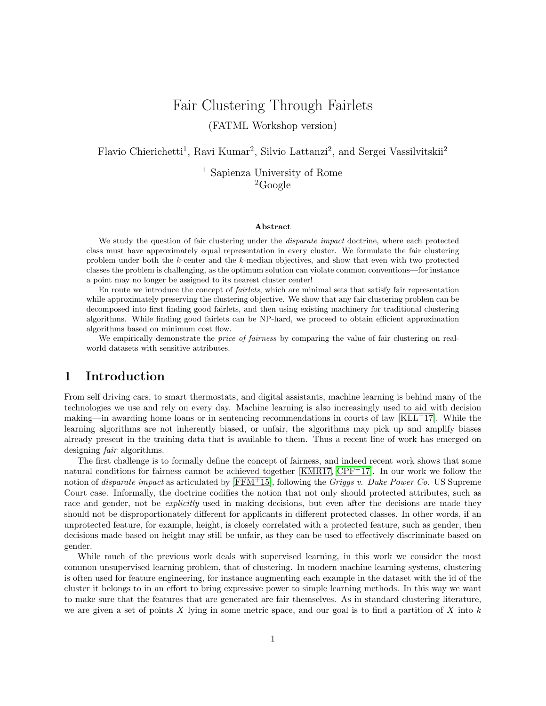# Fair Clustering Through Fairlets (FATML Workshop version)

Flavio Chierichetti<sup>1</sup>, Ravi Kumar<sup>2</sup>, Silvio Lattanzi<sup>2</sup>, and Sergei Vassilvitskii<sup>2</sup>

<sup>1</sup> Sapienza University of Rome  ${}^{2}$ Google

#### Abstract

We study the question of fair clustering under the *disparate impact* doctrine, where each protected class must have approximately equal representation in every cluster. We formulate the fair clustering problem under both the k-center and the k-median objectives, and show that even with two protected classes the problem is challenging, as the optimum solution can violate common conventions—for instance a point may no longer be assigned to its nearest cluster center!

En route we introduce the concept of fairlets, which are minimal sets that satisfy fair representation while approximately preserving the clustering objective. We show that any fair clustering problem can be decomposed into first finding good fairlets, and then using existing machinery for traditional clustering algorithms. While finding good fairlets can be NP-hard, we proceed to obtain efficient approximation algorithms based on minimum cost flow.

We empirically demonstrate the *price of fairness* by comparing the value of fair clustering on realworld datasets with sensitive attributes.

## 1 Introduction

From self driving cars, to smart thermostats, and digital assistants, machine learning is behind many of the technologies we use and rely on every day. Machine learning is also increasingly used to aid with decision making—in awarding home loans or in sentencing recommendations in courts of law  $KLL+17$ . While the learning algorithms are not inherently biased, or unfair, the algorithms may pick up and amplify biases already present in the training data that is available to them. Thus a recent line of work has emerged on designing *fair* algorithms.

The first challenge is to formally define the concept of fairness, and indeed recent work shows that some natural conditions for fairness cannot be achieved together [\[KMR17,](#page-6-1) [CPF](#page-6-2)+17]. In our work we follow the notion of *disparate impact* as articulated by  $[FFM+15]$  $[FFM+15]$ , following the *Griggs v. Duke Power Co.* US Supreme Court case. Informally, the doctrine codifies the notion that not only should protected attributes, such as race and gender, not be *explicitly* used in making decisions, but even after the decisions are made they should not be disproportionately different for applicants in different protected classes. In other words, if an unprotected feature, for example, height, is closely correlated with a protected feature, such as gender, then decisions made based on height may still be unfair, as they can be used to effectively discriminate based on gender.

While much of the previous work deals with supervised learning, in this work we consider the most common unsupervised learning problem, that of clustering. In modern machine learning systems, clustering is often used for feature engineering, for instance augmenting each example in the dataset with the id of the cluster it belongs to in an effort to bring expressive power to simple learning methods. In this way we want to make sure that the features that are generated are fair themselves. As in standard clustering literature, we are given a set of points  $X$  lying in some metric space, and our goal is to find a partition of  $X$  into  $k$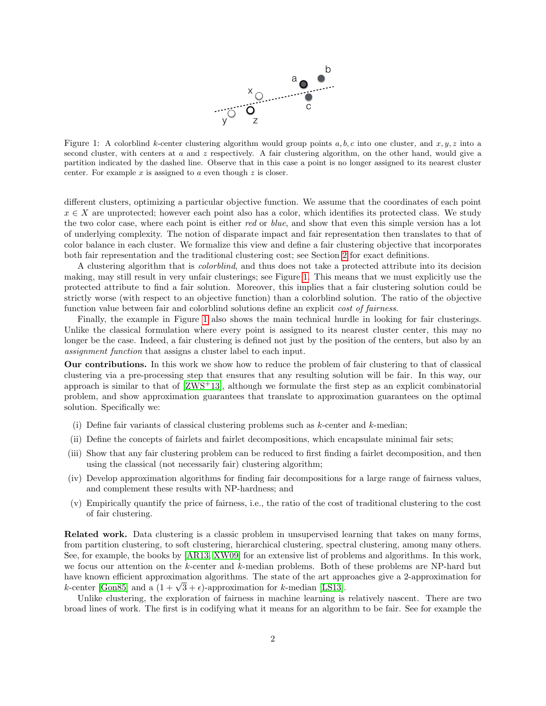

<span id="page-1-0"></span>Figure 1: A colorblind k-center clustering algorithm would group points  $a, b, c$  into one cluster, and  $x, y, z$  into a second cluster, with centers at  $a$  and  $z$  respectively. A fair clustering algorithm, on the other hand, would give a partition indicated by the dashed line. Observe that in this case a point is no longer assigned to its nearest cluster center. For example  $x$  is assigned to  $a$  even though  $z$  is closer.

different clusters, optimizing a particular objective function. We assume that the coordinates of each point  $x \in X$  are unprotected; however each point also has a color, which identifies its protected class. We study the two color case, where each point is either red or blue, and show that even this simple version has a lot of underlying complexity. The notion of disparate impact and fair representation then translates to that of color balance in each cluster. We formalize this view and define a fair clustering objective that incorporates both fair representation and the traditional clustering cost; see Section [2](#page-2-0) for exact definitions.

A clustering algorithm that is colorblind, and thus does not take a protected attribute into its decision making, may still result in very unfair clusterings; see Figure [1.](#page-1-0) This means that we must explicitly use the protected attribute to find a fair solution. Moreover, this implies that a fair clustering solution could be strictly worse (with respect to an objective function) than a colorblind solution. The ratio of the objective function value between fair and colorblind solutions define an explicit *cost of fairness*.

Finally, the example in Figure [1](#page-1-0) also shows the main technical hurdle in looking for fair clusterings. Unlike the classical formulation where every point is assigned to its nearest cluster center, this may no longer be the case. Indeed, a fair clustering is defined not just by the position of the centers, but also by an assignment function that assigns a cluster label to each input.

Our contributions. In this work we show how to reduce the problem of fair clustering to that of classical clustering via a pre-processing step that ensures that any resulting solution will be fair. In this way, our approach is similar to that of [\[ZWS](#page-7-0)+13], although we formulate the first step as an explicit combinatorial problem, and show approximation guarantees that translate to approximation guarantees on the optimal solution. Specifically we:

- (i) Define fair variants of classical clustering problems such as  $k$ -center and  $k$ -median;
- (ii) Define the concepts of fairlets and fairlet decompositions, which encapsulate minimal fair sets;
- (iii) Show that any fair clustering problem can be reduced to first finding a fairlet decomposition, and then using the classical (not necessarily fair) clustering algorithm;
- (iv) Develop approximation algorithms for finding fair decompositions for a large range of fairness values, and complement these results with NP-hardness; and
- (v) Empirically quantify the price of fairness, i.e., the ratio of the cost of traditional clustering to the cost of fair clustering.

Related work. Data clustering is a classic problem in unsupervised learning that takes on many forms, from partition clustering, to soft clustering, hierarchical clustering, spectral clustering, among many others. See, for example, the books by [\[AR13,](#page-6-4) [XW09\]](#page-7-1) for an extensive list of problems and algorithms. In this work, we focus our attention on the k-center and k-median problems. Both of these problems are NP-hard but have known efficient approximation algorithms. The state of the art approaches give a 2-approximation for have known emclent approximation algorithms. The state of the art app<br>k-center [\[Gon85\]](#page-6-5) and a  $(1 + \sqrt{3} + \epsilon)$ -approximation for k-median [\[LS13\]](#page-7-2).

Unlike clustering, the exploration of fairness in machine learning is relatively nascent. There are two broad lines of work. The first is in codifying what it means for an algorithm to be fair. See for example the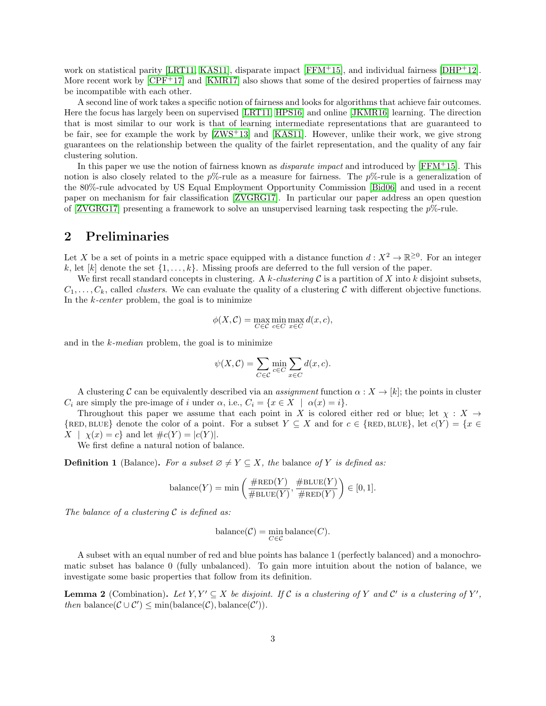work on statistical parity [\[LRT11,](#page-7-3) [KAS11\]](#page-6-6), disparate impact [\[FFM](#page-6-3)+15], and individual fairness [\[DHP](#page-6-7)+12]. More recent work by  $[CPF^+17]$  $[CPF^+17]$  and  $[KMR17]$  also shows that some of the desired properties of fairness may be incompatible with each other.

A second line of work takes a specific notion of fairness and looks for algorithms that achieve fair outcomes. Here the focus has largely been on supervised [\[LRT11,](#page-7-3) [HPS16\]](#page-6-8) and online [\[JKMR16\]](#page-6-9) learning. The direction that is most similar to our work is that of learning intermediate representations that are guaranteed to be fair, see for example the work by [\[ZWS](#page-7-0)+13] and [\[KAS11\]](#page-6-6). However, unlike their work, we give strong guarantees on the relationship between the quality of the fairlet representation, and the quality of any fair clustering solution.

In this paper we use the notion of fairness known as *disparate impact* and introduced by  $[FFM+15]$  $[FFM+15]$ . This notion is also closely related to the  $p\%$ -rule as a measure for fairness. The  $p\%$ -rule is a generalization of the 80%-rule advocated by US Equal Employment Opportunity Commission [\[Bid06\]](#page-6-10) and used in a recent paper on mechanism for fair classification [\[ZVGRG17\]](#page-7-4). In particular our paper address an open question of [\[ZVGRG17\]](#page-7-4) presenting a framework to solve an unsupervised learning task respecting the  $p\%$ -rule.

# <span id="page-2-0"></span>2 Preliminaries

Let X be a set of points in a metric space equipped with a distance function  $d: X^2 \to \mathbb{R}^{\geq 0}$ . For an integer k, let [k] denote the set  $\{1,\ldots,k\}$ . Missing proofs are deferred to the full version of the paper.

We first recall standard concepts in clustering. A k-clustering  $\mathcal C$  is a partition of X into k disjoint subsets.  $C_1, \ldots, C_k$ , called *clusters*. We can evaluate the quality of a clustering C with different objective functions. In the  $k$ -center problem, the goal is to minimize

$$
\phi(X, \mathcal{C}) = \max_{C \in \mathcal{C}} \min_{c \in C} \max_{x \in C} d(x, c),
$$

and in the  $k$ -median problem, the goal is to minimize

$$
\psi(X, \mathcal{C}) = \sum_{C \in \mathcal{C}} \min_{c \in C} \sum_{x \in C} d(x, c).
$$

A clustering C can be equivalently described via an assignment function  $\alpha: X \to [k]$ ; the points in cluster  $C_i$  are simply the pre-image of i under  $\alpha$ , i.e.,  $C_i = \{x \in X \mid \alpha(x) = i\}.$ 

Throughout this paper we assume that each point in X is colored either red or blue; let  $\chi : X \rightarrow$  $\{RED, BLUE\}$  denote the color of a point. For a subset  $Y \subseteq X$  and for  $c \in \{RED, BLUE\}$ , let  $c(Y) = \{x \in Y\}$  $X | \chi(x) = c$  and let  $\#c(Y) = |c(Y)|$ .

We first define a natural notion of balance.

**Definition 1** (Balance). For a subset  $\emptyset \neq Y \subseteq X$ , the balance of Y is defined as:

$$
\text{balance}(Y) = \min\left(\frac{\# \text{RED}(Y)}{\# \text{BLE}(Y)}, \frac{\# \text{BLE}(Y)}{\# \text{RED}(Y)}\right) \in [0, 1].
$$

The balance of a clustering  $\mathcal C$  is defined as:

$$
balance(\mathcal{C}) = \min_{C \in \mathcal{C}} balance(C).
$$

A subset with an equal number of red and blue points has balance 1 (perfectly balanced) and a monochromatic subset has balance 0 (fully unbalanced). To gain more intuition about the notion of balance, we investigate some basic properties that follow from its definition.

**Lemma 2** (Combination). Let  $Y, Y' \subseteq X$  be disjoint. If C is a clustering of Y and C' is a clustering of Y', then balance( $\mathcal{C} \cup \mathcal{C}'$ )  $\leq$  min(balance( $\mathcal{C}$ ), balance( $\mathcal{C}'$ )).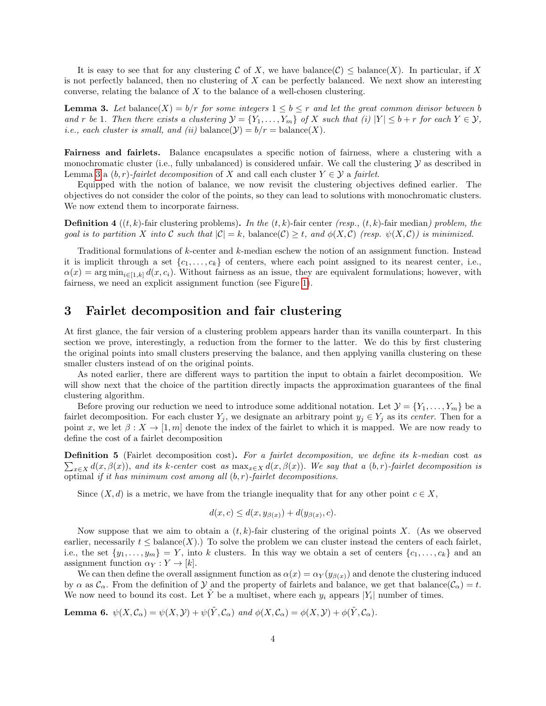It is easy to see that for any clustering C of X, we have balance(C)  $\leq$  balance(X). In particular, if X is not perfectly balanced, then no clustering of  $X$  can be perfectly balanced. We next show an interesting converse, relating the balance of  $X$  to the balance of a well-chosen clustering.

<span id="page-3-0"></span>**Lemma 3.** Let balance(X) =  $b/r$  for some integers  $1 \leq b \leq r$  and let the great common divisor between b and r be 1. Then there exists a clustering  $\mathcal{Y} = \{Y_1, \ldots, Y_m\}$  of X such that (i)  $|Y| \leq b + r$  for each  $Y \in \mathcal{Y}$ , *i.e.*, each cluster is small, and (ii) balance( $\mathcal{Y}$ ) = b/r = balance(X).

Fairness and fairlets. Balance encapsulates a specific notion of fairness, where a clustering with a monochromatic cluster (i.e., fully unbalanced) is considered unfair. We call the clustering  $\mathcal Y$  as described in Lemma [3](#page-3-0) a  $(b, r)$ -fairlet decomposition of X and call each cluster  $Y \in \mathcal{Y}$  a fairlet.

Equipped with the notion of balance, we now revisit the clustering objectives defined earlier. The objectives do not consider the color of the points, so they can lead to solutions with monochromatic clusters. We now extend them to incorporate fairness.

**Definition 4** ((t, k)-fair clustering problems). In the  $(t, k)$ -fair center (resp.,  $(t, k)$ -fair median) problem, the goal is to partition X into C such that  $|\mathcal{C}| = k$ , balance $(\mathcal{C}) \geq t$ , and  $\phi(X, \mathcal{C})$  (resp.  $\psi(X, \mathcal{C})$ ) is minimized.

Traditional formulations of k-center and k-median eschew the notion of an assignment function. Instead it is implicit through a set  $\{c_1, \ldots, c_k\}$  of centers, where each point assigned to its nearest center, i.e.,  $\alpha(x) = \arg \min_{i \in [1,k]} d(x, c_i)$ . Without fairness as an issue, they are equivalent formulations; however, with fairness, we need an explicit assignment function (see Figure [1\)](#page-1-0).

## 3 Fairlet decomposition and fair clustering

At first glance, the fair version of a clustering problem appears harder than its vanilla counterpart. In this section we prove, interestingly, a reduction from the former to the latter. We do this by first clustering the original points into small clusters preserving the balance, and then applying vanilla clustering on these smaller clusters instead of on the original points.

As noted earlier, there are different ways to partition the input to obtain a fairlet decomposition. We will show next that the choice of the partition directly impacts the approximation guarantees of the final clustering algorithm.

Before proving our reduction we need to introduce some additional notation. Let  $\mathcal{Y} = \{Y_1, \ldots, Y_m\}$  be a fairlet decomposition. For each cluster  $Y_j$ , we designate an arbitrary point  $y_j \in Y_j$  as its center. Then for a point x, we let  $\beta: X \to [1, m]$  denote the index of the fairlet to which it is mapped. We are now ready to define the cost of a fairlet decomposition

 $\sum_{x\in X} d(x,\beta(x))$ , and its k-center cost as  $\max_{x\in X} d(x,\beta(x))$ . We say that a  $(b,r)$ -fairlet decomposition is Definition 5 (Fairlet decomposition cost). For a fairlet decomposition, we define its k-median cost as optimal if it has minimum cost among all  $(b, r)$ -fairlet decompositions.

Since  $(X, d)$  is a metric, we have from the triangle inequality that for any other point  $c \in X$ ,

$$
d(x, c) \le d(x, y_{\beta(x)}) + d(y_{\beta(x)}, c).
$$

Now suppose that we aim to obtain a  $(t, k)$ -fair clustering of the original points X. (As we observed earlier, necessarily  $t \leq$  balance $(X)$ .) To solve the problem we can cluster instead the centers of each fairlet, i.e., the set  $\{y_1, \ldots, y_m\} = Y$ , into k clusters. In this way we obtain a set of centers  $\{c_1, \ldots, c_k\}$  and an assignment function  $\alpha_Y : Y \to [k]$ .

We can then define the overall assignment function as  $\alpha(x) = \alpha_Y(y_{\beta(x)})$  and denote the clustering induced by  $\alpha$  as  $\mathcal{C}_{\alpha}$ . From the definition of  $\mathcal Y$  and the property of fairlets and balance, we get that balance( $\mathcal{C}_{\alpha}$ ) = t. We now need to bound its cost. Let  $\tilde{Y}$  be a multiset, where each  $y_i$  appears  $|Y_i|$  number of times.

**Lemma 6.**  $\psi(X, \mathcal{C}_\alpha) = \psi(X, \mathcal{Y}) + \psi(\tilde{Y}, \mathcal{C}_\alpha)$  and  $\phi(X, \mathcal{C}_\alpha) = \phi(X, \mathcal{Y}) + \phi(\tilde{Y}, \mathcal{C}_\alpha)$ .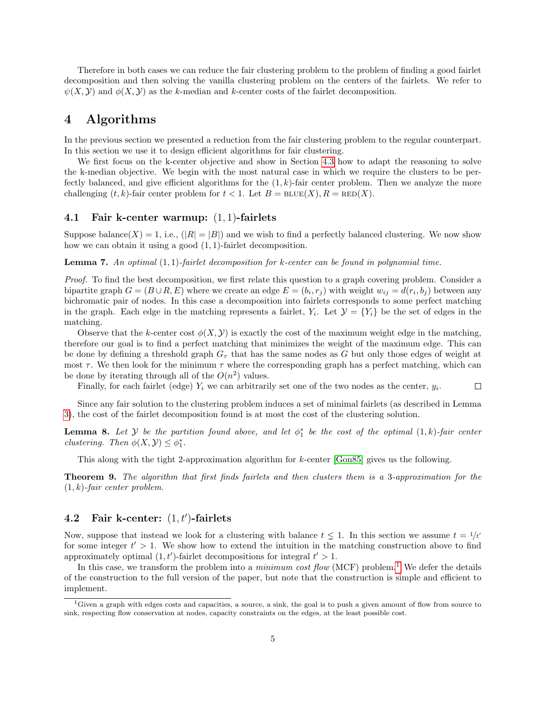Therefore in both cases we can reduce the fair clustering problem to the problem of finding a good fairlet decomposition and then solving the vanilla clustering problem on the centers of the fairlets. We refer to  $\psi(X, Y)$  and  $\phi(X, Y)$  as the k-median and k-center costs of the fairlet decomposition.

## <span id="page-4-1"></span>4 Algorithms

In the previous section we presented a reduction from the fair clustering problem to the regular counterpart. In this section we use it to design efficient algorithms for fair clustering.

We first focus on the k-center objective and show in Section [4.3](#page-5-0) how to adapt the reasoning to solve the k-median objective. We begin with the most natural case in which we require the clusters to be perfectly balanced, and give efficient algorithms for the  $(1, k)$ -fair center problem. Then we analyze the more challenging  $(t, k)$ -fair center problem for  $t < 1$ . Let  $B = \text{BLUE}(X)$ ,  $R = \text{RED}(X)$ .

#### 4.1 Fair k-center warmup: (1, 1)-fairlets

Suppose balance(X) = 1, i.e.,  $(|R| = |B|)$  and we wish to find a perfectly balanced clustering. We now show how we can obtain it using a good (1, 1)-fairlet decomposition.

**Lemma 7.** An optimal  $(1,1)$ -fairlet decomposition for k-center can be found in polynomial time.

Proof. To find the best decomposition, we first relate this question to a graph covering problem. Consider a bipartite graph  $G = (B \cup R, E)$  where we create an edge  $E = (b_i, r_j)$  with weight  $w_{ij} = d(r_i, b_j)$  between any bichromatic pair of nodes. In this case a decomposition into fairlets corresponds to some perfect matching in the graph. Each edge in the matching represents a fairlet,  $Y_i$ . Let  $\mathcal{Y} = \{Y_i\}$  be the set of edges in the matching.

Observe that the k-center cost  $\phi(X, Y)$  is exactly the cost of the maximum weight edge in the matching, therefore our goal is to find a perfect matching that minimizes the weight of the maximum edge. This can be done by defining a threshold graph  $G<sub>\tau</sub>$  that has the same nodes as G but only those edges of weight at most  $\tau$ . We then look for the minimum  $\tau$  where the corresponding graph has a perfect matching, which can be done by iterating through all of the  $O(n^2)$  values.

Finally, for each fairlet (edge)  $Y_i$  we can arbitrarily set one of the two nodes as the center,  $y_i$ .  $\Box$ 

Since any fair solution to the clustering problem induces a set of minimal fairlets (as described in Lemma [3\)](#page-3-0), the cost of the fairlet decomposition found is at most the cost of the clustering solution.

**Lemma 8.** Let  $Y$  be the partition found above, and let  $\phi_1^*$  be the cost of the optimal  $(1, k)$ -fair center clustering. Then  $\phi(X, Y) \leq \phi_1^*$ .

This along with the tight 2-approximation algorithm for k-center [\[Gon85\]](#page-6-5) gives us the following.

Theorem 9. The algorithm that first finds fairlets and then clusters them is a 3-approximation for the  $(1, k)$ -fair center problem.

## 4.2 Fair k-center:  $(1, t')$ -fairlets

Now, suppose that instead we look for a clustering with balance  $t \leq 1$ . In this section we assume  $t = 1/t'$ for some integer  $t' > 1$ . We show how to extend the intuition in the matching construction above to find approximately optimal  $(1, t')$ -fairlet decompositions for integral  $t' > 1$ .

In this case, we transform the problem into a *minimum cost flow* (MCF) problem.<sup>[1](#page-4-0)</sup> We defer the details of the construction to the full version of the paper, but note that the construction is simple and efficient to implement.

<span id="page-4-0"></span><sup>&</sup>lt;sup>1</sup>Given a graph with edges costs and capacities, a source, a sink, the goal is to push a given amount of flow from source to sink, respecting flow conservation at nodes, capacity constraints on the edges, at the least possible cost.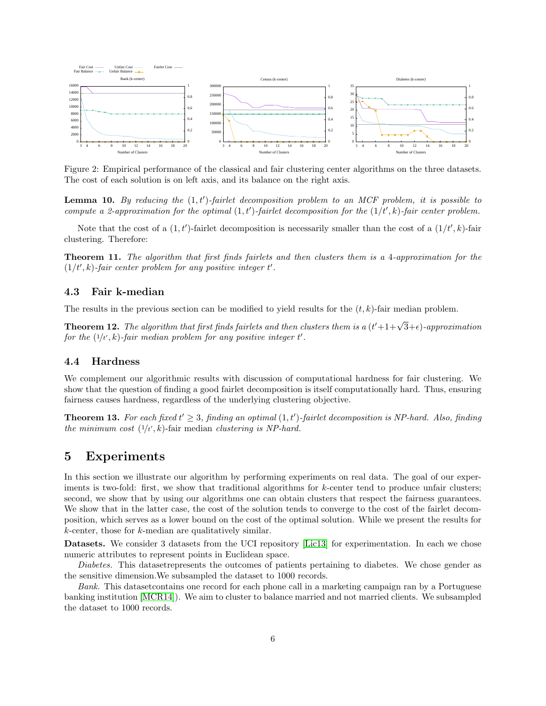<span id="page-5-1"></span>

Figure 2: Empirical performance of the classical and fair clustering center algorithms on the three datasets. The cost of each solution is on left axis, and its balance on the right axis.

**Lemma 10.** By reducing the  $(1, t')$ -fairlet decomposition problem to an MCF problem, it is possible to compute a 2-approximation for the optimal  $(1,t')$ -fairlet decomposition for the  $(1/t', k)$ -fair center problem.

Note that the cost of a  $(1, t')$ -fairlet decomposition is necessarily smaller than the cost of a  $(1/t', k)$ -fair clustering. Therefore:

Theorem 11. The algorithm that first finds fairlets and then clusters them is a 4-approximation for the  $(1/t', k)$ -fair center problem for any positive integer t'.

#### <span id="page-5-0"></span>4.3 Fair k-median

The results in the previous section can be modified to yield results for the  $(t, k)$ -fair median problem.

**Theorem 12.** The algorithm that first finds fairlets and then clusters them is a  $(t'+1+\sqrt{3}+\epsilon)$ -approximation for the  $(1/t', k)$ -fair median problem for any positive integer t'.

#### 4.4 Hardness

We complement our algorithmic results with discussion of computational hardness for fair clustering. We show that the question of finding a good fairlet decomposition is itself computationally hard. Thus, ensuring fairness causes hardness, regardless of the underlying clustering objective.

**Theorem 13.** For each fixed  $t' \geq 3$ , finding an optimal  $(1, t')$ -fairlet decomposition is NP-hard. Also, finding the minimum cost  $(1/t, k)$ -fair median clustering is NP-hard.

### 5 Experiments

In this section we illustrate our algorithm by performing experiments on real data. The goal of our experiments is two-fold: first, we show that traditional algorithms for k-center tend to produce unfair clusters; second, we show that by using our algorithms one can obtain clusters that respect the fairness guarantees. We show that in the latter case, the cost of the solution tends to converge to the cost of the fairlet decomposition, which serves as a lower bound on the cost of the optimal solution. While we present the results for k-center, those for k-median are qualitatively similar.

Datasets. We consider 3 datasets from the UCI repository [\[Lic13\]](#page-6-11) for experimentation. In each we chose numeric attributes to represent points in Euclidean space.

Diabetes. This dataset represents the outcomes of patients pertaining to diabetes. We chose gender as the sensitive dimension.We subsampled the dataset to 1000 records.

Bank. This dataset contains one record for each phone call in a marketing campaign ran by a Portuguese banking institution [\[MCR14\]](#page-7-5)). We aim to cluster to balance married and not married clients. We subsampled the dataset to 1000 records.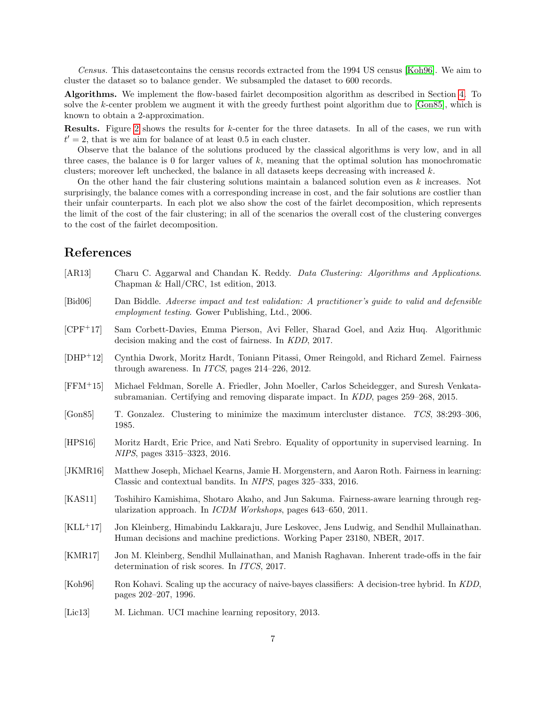Census. This datasetcontains the census records extracted from the 1994 US census [\[Koh96\]](#page-6-12). We aim to cluster the dataset so to balance gender. We subsampled the dataset to 600 records.

Algorithms. We implement the flow-based fairlet decomposition algorithm as described in Section [4.](#page-4-1) To solve the k-center problem we augment it with the greedy furthest point algorithm due to [\[Gon85\]](#page-6-5), which is known to obtain a 2-approximation.

Results. Figure [2](#page-5-1) shows the results for k-center for the three datasets. In all of the cases, we run with  $t' = 2$ , that is we aim for balance of at least 0.5 in each cluster.

Observe that the balance of the solutions produced by the classical algorithms is very low, and in all three cases, the balance is 0 for larger values of  $k$ , meaning that the optimal solution has monochromatic clusters; moreover left unchecked, the balance in all datasets keeps decreasing with increased  $k$ .

On the other hand the fair clustering solutions maintain a balanced solution even as k increases. Not surprisingly, the balance comes with a corresponding increase in cost, and the fair solutions are costlier than their unfair counterparts. In each plot we also show the cost of the fairlet decomposition, which represents the limit of the cost of the fair clustering; in all of the scenarios the overall cost of the clustering converges to the cost of the fairlet decomposition.

## References

- <span id="page-6-4"></span>[AR13] Charu C. Aggarwal and Chandan K. Reddy. Data Clustering: Algorithms and Applications. Chapman & Hall/CRC, 1st edition, 2013.
- <span id="page-6-10"></span>[Bid06] Dan Biddle. Adverse impact and test validation: A practitioner's guide to valid and defensible employment testing. Gower Publishing, Ltd., 2006.
- <span id="page-6-2"></span>[CPF+17] Sam Corbett-Davies, Emma Pierson, Avi Feller, Sharad Goel, and Aziz Huq. Algorithmic decision making and the cost of fairness. In KDD, 2017.
- <span id="page-6-7"></span>[DHP+12] Cynthia Dwork, Moritz Hardt, Toniann Pitassi, Omer Reingold, and Richard Zemel. Fairness through awareness. In ITCS, pages 214–226, 2012.
- <span id="page-6-3"></span>[FFM+15] Michael Feldman, Sorelle A. Friedler, John Moeller, Carlos Scheidegger, and Suresh Venkatasubramanian. Certifying and removing disparate impact. In KDD, pages 259–268, 2015.
- <span id="page-6-5"></span>[Gon85] T. Gonzalez. Clustering to minimize the maximum intercluster distance. TCS, 38:293-306, 1985.
- <span id="page-6-8"></span>[HPS16] Moritz Hardt, Eric Price, and Nati Srebro. Equality of opportunity in supervised learning. In NIPS, pages 3315–3323, 2016.
- <span id="page-6-9"></span>[JKMR16] Matthew Joseph, Michael Kearns, Jamie H. Morgenstern, and Aaron Roth. Fairness in learning: Classic and contextual bandits. In NIPS, pages 325–333, 2016.
- <span id="page-6-6"></span>[KAS11] Toshihiro Kamishima, Shotaro Akaho, and Jun Sakuma. Fairness-aware learning through regularization approach. In ICDM Workshops, pages 643–650, 2011.
- <span id="page-6-0"></span>[KLL<sup>+</sup>17] Jon Kleinberg, Himabindu Lakkaraju, Jure Leskovec, Jens Ludwig, and Sendhil Mullainathan. Human decisions and machine predictions. Working Paper 23180, NBER, 2017.
- <span id="page-6-1"></span>[KMR17] Jon M. Kleinberg, Sendhil Mullainathan, and Manish Raghavan. Inherent trade-offs in the fair determination of risk scores. In ITCS, 2017.
- <span id="page-6-12"></span>[Koh96] Ron Kohavi. Scaling up the accuracy of naive-bayes classifiers: A decision-tree hybrid. In KDD, pages 202–207, 1996.
- <span id="page-6-11"></span>[Lic13] M. Lichman. UCI machine learning repository, 2013.